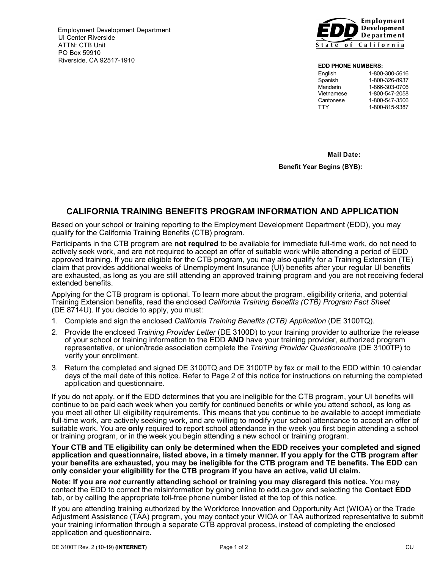Employment Development Department UI Center Riverside ATTN: CTB Unit PO Box 59910  $Riverside, CA 92517-1910$ 



#### **EDD PHONE NUMBERS:**

| English    | 1-800-300-5616 |
|------------|----------------|
| Spanish    | 1-800-326-8937 |
| Mandarin   | 1-866-303-0706 |
| Vietnamese | 1-800-547-2058 |
| Cantonese  | 1-800-547-3506 |
| TTY        | 1-800-815-9387 |
|            |                |

 **Mail Date:**

**Benefit Year Begins (BYB):**

# **CALIFORNIA TRAINING BENEFITS PROGRAM INFORMATION AND APPLICATION**

 Based on your school or training reporting to the Employment Development Department (EDD), you may qualify for the California Training Benefits (CTB) program.

 Participants in the CTB program are **not required** to be available for immediate full-time work, do not need to actively seek work, and are not required to accept an offer of suitable work while attending a period of EDD approved training. If you are eligible for the CTB program, you may also qualify for a Training Extension (TE) claim that provides additional weeks of Unemployment Insurance (UI) benefits after your regular UI benefits are exhausted, as long as you are still attending an approved training program and you are not receiving federal extended benefits.

 Applying for the CTB program is optional. To learn more about the program, eligibility criteria, and potential Training Extension benefits, read the enclosed *California Training Benefits (CTB) Program Fact Sheet* (DE 8714U). If you decide to apply, you must:

- 1. Complete and sign the enclosed *California Training Benefits (CTB) Application* (DE 3100TQ).
- 2. Provide the enclosed *Training Provider Letter* (DE 3100D) to your training provider to authorize the release of your school or training information to the EDD **AND** have your training provider, authorized program representative, or union/trade association complete the *Training Provider Questionnaire* (DE 3100TP) to verify your enrollment.
- 3. Return the completed and signed DE 3100TQ and DE 3100TP by fax or mail to the EDD within 10 calendar days of the mail date of this notice. Refer to Page 2 of this notice for instructions on returning the completed application and questionnaire.

 If you do not apply, or if the EDD determines that you are ineligible for the CTB program, your UI benefits will continue to be paid each week when you certify for continued benefits or while you attend school, as long as suitable work. You are **only** required to report school attendance in the week you first begin attending a school or training program, or in the week you begin attending a new school or training program. you meet all other UI eligibility requirements. This means that you continue to be available to accept immediate full-time work, are actively seeking work, and are willing to modify your school attendance to accept an offer of

 **Your CTB and TE eligibility can only be determined when the EDD receives your completed and signed application and questionnaire, listed above, in a timely manner. If you apply for the CTB program after** your benefits are exhausted, you may be ineligible for the CTB program and TE benefits. The EDD can **only consider your eligibility for the CTB program if you have an active, valid UI claim.**

**Note: If you are** *not* **currently attending school or training you may disregard this notice.** You may contact the EDD to correct the misinformation by going online to edd.ca.gov and selecting the **Contact EDD** tab, or by calling the appropriate toll-free phone number listed at the top of this notice.

 If you are attending training authorized by the Workforce Innovation and Opportunity Act (WIOA) or the Trade Adjustment Assistance (TAA) program, you may contact your WIOA or TAA authorized representative to submit your training information through a separate CTB approval process, instead of completing the enclosed application and questionnaire.